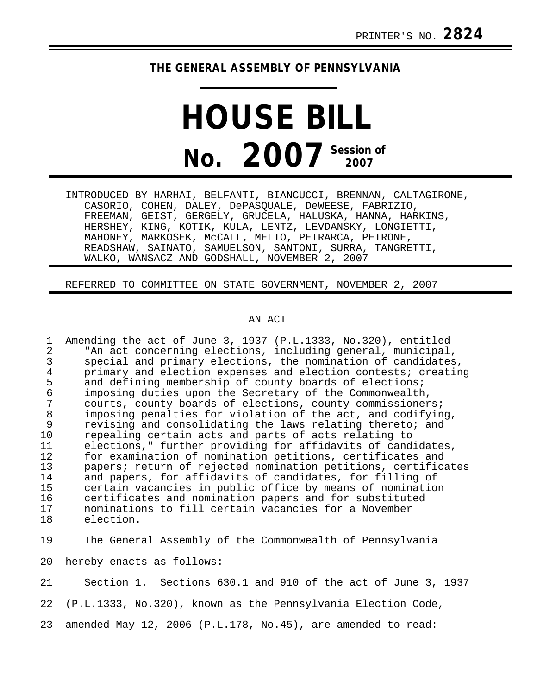## **THE GENERAL ASSEMBLY OF PENNSYLVANIA**

## **HOUSE BILL No. 2007 Session of 2007**

INTRODUCED BY HARHAI, BELFANTI, BIANCUCCI, BRENNAN, CALTAGIRONE, CASORIO, COHEN, DALEY, DePASQUALE, DeWEESE, FABRIZIO, FREEMAN, GEIST, GERGELY, GRUCELA, HALUSKA, HANNA, HARKINS, HERSHEY, KING, KOTIK, KULA, LENTZ, LEVDANSKY, LONGIETTI, MAHONEY, MARKOSEK, McCALL, MELIO, PETRARCA, PETRONE, READSHAW, SAINATO, SAMUELSON, SANTONI, SURRA, TANGRETTI, WALKO, WANSACZ AND GODSHALL, NOVEMBER 2, 2007

REFERRED TO COMMITTEE ON STATE GOVERNMENT, NOVEMBER 2, 2007

## AN ACT

1 Amending the act of June 3, 1937 (P.L.1333, No.320), entitled<br>2 TAn act concerning elections, including general, municipal 2 The act concerning elections, including general, municipal,<br>3 Special and primary elections, the nomination of candidates 3 special and primary elections, the nomination of candidates,<br>4 orimary and election expenses and election contests; creating 4 primary and election expenses and election contests; creating<br>5 and defining membership of county boards of elections; 5 and defining membership of county boards of elections;<br>6 imposing duties upon the Secretary of the Commonwealth 6 imposing duties upon the Secretary of the Commonwealth, 7 courts, county boards of elections, county commissioners;<br>8 imposing penalties for violation of the act, and codifyin 8 imposing penalties for violation of the act, and codifying,<br>9 revising and consolidating the laws relating thereto; and 9 revising and consolidating the laws relating thereto; and<br>10 repealing certain acts and parts of acts relating to 10 repealing certain acts and parts of acts relating to<br>11 elections." further providing for affidavits of cand 11 elections," further providing for affidavits of candidates,<br>12 for examination of nomination petitions, certificates and 12 for examination of nomination petitions, certificates and 13 papers; return of rejected nomination petitions, certificates<br>14 and papers, for affidavits of candidates, for filling of 14 and papers, for affidavits of candidates, for filling of<br>15 certain vacancies in public office by means of nominatio 15 certain vacancies in public office by means of nomination<br>16 certificates and nomination papers and for substituted 16 certificates and nomination papers and for substituted<br>17 mominations to fill certain vacancies for a November 17 nominations to fill certain vacancies for a November<br>18 election. election.

19 The General Assembly of the Commonwealth of Pennsylvania

20 hereby enacts as follows:

21 Section 1. Sections 630.1 and 910 of the act of June 3, 1937

22 (P.L.1333, No.320), known as the Pennsylvania Election Code,

23 amended May 12, 2006 (P.L.178, No.45), are amended to read: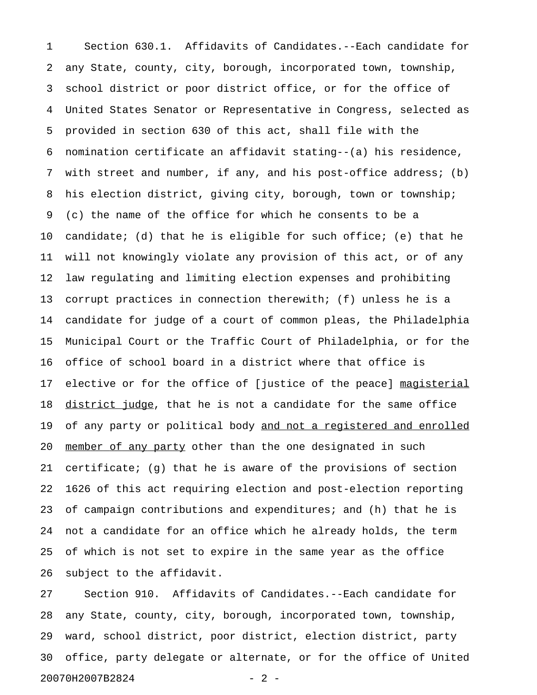1 Section 630.1. Affidavits of Candidates.--Each candidate for 2 any State, county, city, borough, incorporated town, township, 3 school district or poor district office, or for the office of 4 United States Senator or Representative in Congress, selected as 5 provided in section 630 of this act, shall file with the 6 nomination certificate an affidavit stating--(a) his residence, 7 with street and number, if any, and his post-office address; (b) 8 his election district, giving city, borough, town or township; 9 (c) the name of the office for which he consents to be a 10 candidate; (d) that he is eligible for such office; (e) that he 11 will not knowingly violate any provision of this act, or of any 12 law regulating and limiting election expenses and prohibiting 13 corrupt practices in connection therewith; (f) unless he is a 14 candidate for judge of a court of common pleas, the Philadelphia 15 Municipal Court or the Traffic Court of Philadelphia, or for the 16 office of school board in a district where that office is 17 elective or for the office of [justice of the peace] magisterial 18 district judge, that he is not a candidate for the same office 19 of any party or political body and not a registered and enrolled 20 member of any party other than the one designated in such 21 certificate; (g) that he is aware of the provisions of section 22 1626 of this act requiring election and post-election reporting 23 of campaign contributions and expenditures; and (h) that he is 24 not a candidate for an office which he already holds, the term 25 of which is not set to expire in the same year as the office 26 subject to the affidavit.

27 Section 910. Affidavits of Candidates.--Each candidate for 28 any State, county, city, borough, incorporated town, township, 29 ward, school district, poor district, election district, party 30 office, party delegate or alternate, or for the office of United 20070H2007B2824 - 2 -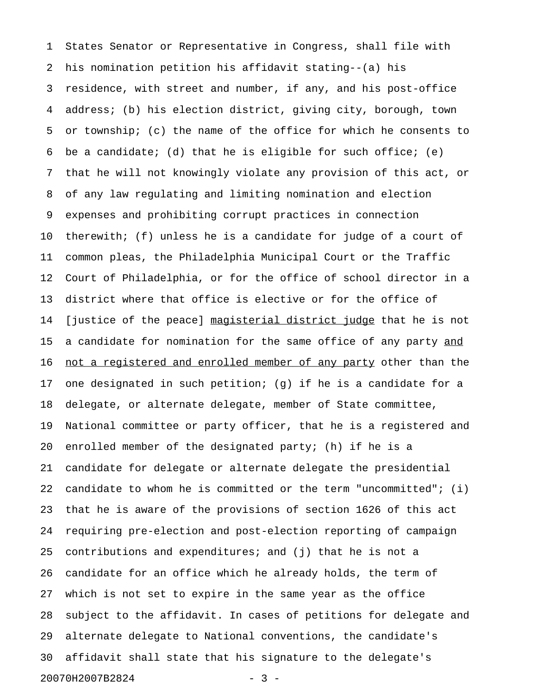1 States Senator or Representative in Congress, shall file with 2 his nomination petition his affidavit stating--(a) his 3 residence, with street and number, if any, and his post-office 4 address; (b) his election district, giving city, borough, town 5 or township; (c) the name of the office for which he consents to 6 be a candidate; (d) that he is eligible for such office; (e) 7 that he will not knowingly violate any provision of this act, or 8 of any law regulating and limiting nomination and election 9 expenses and prohibiting corrupt practices in connection 10 therewith; (f) unless he is a candidate for judge of a court of 11 common pleas, the Philadelphia Municipal Court or the Traffic 12 Court of Philadelphia, or for the office of school director in a 13 district where that office is elective or for the office of 14 [justice of the peace] magisterial district judge that he is not 15 a candidate for nomination for the same office of any party and 16 not a registered and enrolled member of any party other than the 17 one designated in such petition; (g) if he is a candidate for a 18 delegate, or alternate delegate, member of State committee, 19 National committee or party officer, that he is a registered and 20 enrolled member of the designated party; (h) if he is a 21 candidate for delegate or alternate delegate the presidential 22 candidate to whom he is committed or the term "uncommitted"; (i) 23 that he is aware of the provisions of section 1626 of this act 24 requiring pre-election and post-election reporting of campaign 25 contributions and expenditures; and (j) that he is not a 26 candidate for an office which he already holds, the term of 27 which is not set to expire in the same year as the office 28 subject to the affidavit. In cases of petitions for delegate and 29 alternate delegate to National conventions, the candidate's 30 affidavit shall state that his signature to the delegate's 20070H2007B2824 - 3 -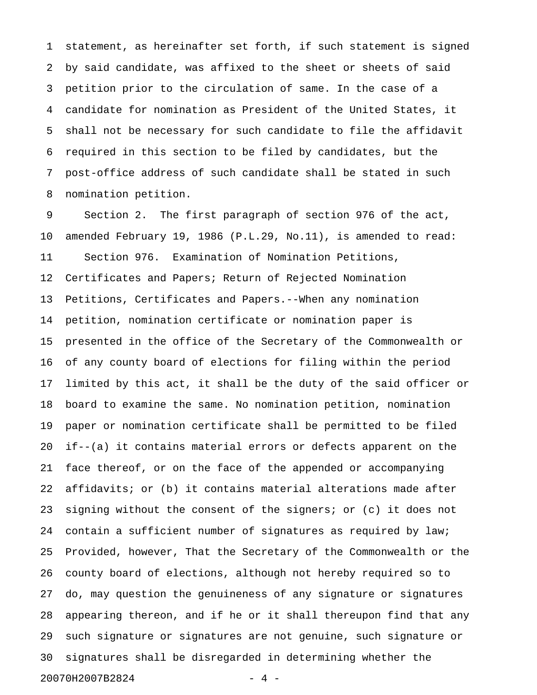1 statement, as hereinafter set forth, if such statement is signed 2 by said candidate, was affixed to the sheet or sheets of said 3 petition prior to the circulation of same. In the case of a 4 candidate for nomination as President of the United States, it 5 shall not be necessary for such candidate to file the affidavit 6 required in this section to be filed by candidates, but the 7 post-office address of such candidate shall be stated in such 8 nomination petition.

9 Section 2. The first paragraph of section 976 of the act, 10 amended February 19, 1986 (P.L.29, No.11), is amended to read: 11 Section 976. Examination of Nomination Petitions, 12 Certificates and Papers; Return of Rejected Nomination 13 Petitions, Certificates and Papers.--When any nomination 14 petition, nomination certificate or nomination paper is 15 presented in the office of the Secretary of the Commonwealth or 16 of any county board of elections for filing within the period 17 limited by this act, it shall be the duty of the said officer or 18 board to examine the same. No nomination petition, nomination 19 paper or nomination certificate shall be permitted to be filed 20 if--(a) it contains material errors or defects apparent on the 21 face thereof, or on the face of the appended or accompanying 22 affidavits; or (b) it contains material alterations made after 23 signing without the consent of the signers; or (c) it does not 24 contain a sufficient number of signatures as required by law; 25 Provided, however, That the Secretary of the Commonwealth or the 26 county board of elections, although not hereby required so to 27 do, may question the genuineness of any signature or signatures 28 appearing thereon, and if he or it shall thereupon find that any 29 such signature or signatures are not genuine, such signature or 30 signatures shall be disregarded in determining whether the 20070H2007B2824 - 4 -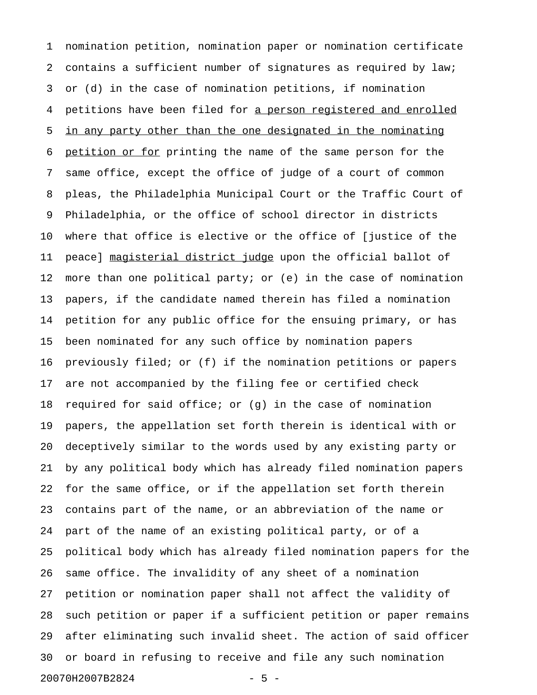1 nomination petition, nomination paper or nomination certificate 2 contains a sufficient number of signatures as required by law; 3 or (d) in the case of nomination petitions, if nomination 4 petitions have been filed for a person registered and enrolled 5 in any party other than the one designated in the nominating 6 petition or for printing the name of the same person for the 7 same office, except the office of judge of a court of common 8 pleas, the Philadelphia Municipal Court or the Traffic Court of 9 Philadelphia, or the office of school director in districts 10 where that office is elective or the office of [justice of the 11 peace] magisterial district judge upon the official ballot of 12 more than one political party; or (e) in the case of nomination 13 papers, if the candidate named therein has filed a nomination 14 petition for any public office for the ensuing primary, or has 15 been nominated for any such office by nomination papers 16 previously filed; or (f) if the nomination petitions or papers 17 are not accompanied by the filing fee or certified check 18 required for said office; or (g) in the case of nomination 19 papers, the appellation set forth therein is identical with or 20 deceptively similar to the words used by any existing party or 21 by any political body which has already filed nomination papers 22 for the same office, or if the appellation set forth therein 23 contains part of the name, or an abbreviation of the name or 24 part of the name of an existing political party, or of a 25 political body which has already filed nomination papers for the 26 same office. The invalidity of any sheet of a nomination 27 petition or nomination paper shall not affect the validity of 28 such petition or paper if a sufficient petition or paper remains 29 after eliminating such invalid sheet. The action of said officer 30 or board in refusing to receive and file any such nomination 20070H2007B2824 - 5 -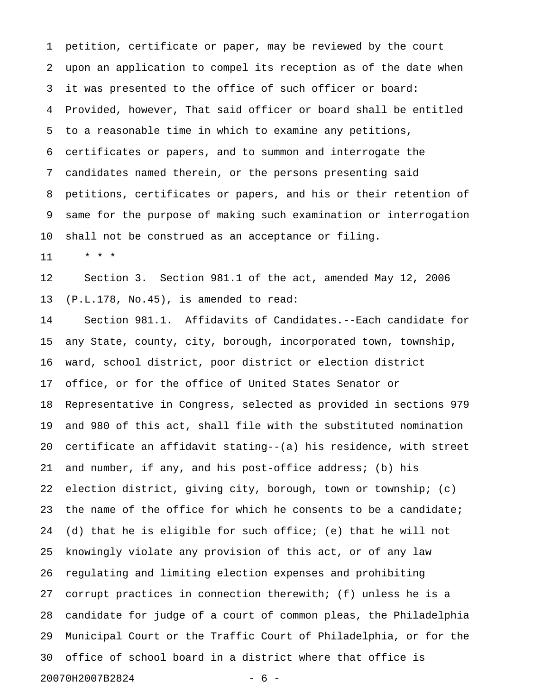1 petition, certificate or paper, may be reviewed by the court 2 upon an application to compel its reception as of the date when 3 it was presented to the office of such officer or board: 4 Provided, however, That said officer or board shall be entitled 5 to a reasonable time in which to examine any petitions, 6 certificates or papers, and to summon and interrogate the 7 candidates named therein, or the persons presenting said 8 petitions, certificates or papers, and his or their retention of 9 same for the purpose of making such examination or interrogation 10 shall not be construed as an acceptance or filing.

11 \* \* \*

12 Section 3. Section 981.1 of the act, amended May 12, 2006 13 (P.L.178, No.45), is amended to read:

14 Section 981.1. Affidavits of Candidates.--Each candidate for 15 any State, county, city, borough, incorporated town, township, 16 ward, school district, poor district or election district 17 office, or for the office of United States Senator or 18 Representative in Congress, selected as provided in sections 979 19 and 980 of this act, shall file with the substituted nomination 20 certificate an affidavit stating--(a) his residence, with street 21 and number, if any, and his post-office address; (b) his 22 election district, giving city, borough, town or township; (c) 23 the name of the office for which he consents to be a candidate; 24 (d) that he is eligible for such office; (e) that he will not 25 knowingly violate any provision of this act, or of any law 26 regulating and limiting election expenses and prohibiting 27 corrupt practices in connection therewith; (f) unless he is a 28 candidate for judge of a court of common pleas, the Philadelphia 29 Municipal Court or the Traffic Court of Philadelphia, or for the 30 office of school board in a district where that office is 20070H2007B2824 - 6 -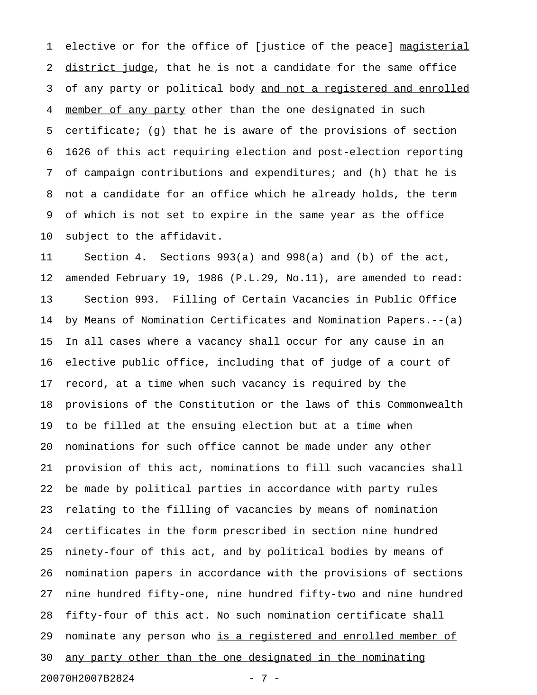1 elective or for the office of [justice of the peace] magisterial 2 district judge, that he is not a candidate for the same office 3 of any party or political body and not a registered and enrolled 4 member of any party other than the one designated in such 5 certificate; (g) that he is aware of the provisions of section 6 1626 of this act requiring election and post-election reporting 7 of campaign contributions and expenditures; and (h) that he is 8 not a candidate for an office which he already holds, the term 9 of which is not set to expire in the same year as the office 10 subject to the affidavit.

11 Section 4. Sections 993(a) and 998(a) and (b) of the act, 12 amended February 19, 1986 (P.L.29, No.11), are amended to read: 13 Section 993. Filling of Certain Vacancies in Public Office 14 by Means of Nomination Certificates and Nomination Papers.--(a) 15 In all cases where a vacancy shall occur for any cause in an 16 elective public office, including that of judge of a court of 17 record, at a time when such vacancy is required by the 18 provisions of the Constitution or the laws of this Commonwealth 19 to be filled at the ensuing election but at a time when 20 nominations for such office cannot be made under any other 21 provision of this act, nominations to fill such vacancies shall 22 be made by political parties in accordance with party rules 23 relating to the filling of vacancies by means of nomination 24 certificates in the form prescribed in section nine hundred 25 ninety-four of this act, and by political bodies by means of 26 nomination papers in accordance with the provisions of sections 27 nine hundred fifty-one, nine hundred fifty-two and nine hundred 28 fifty-four of this act. No such nomination certificate shall 29 nominate any person who is a registered and enrolled member of 30 any party other than the one designated in the nominating 20070H2007B2824 - 7 -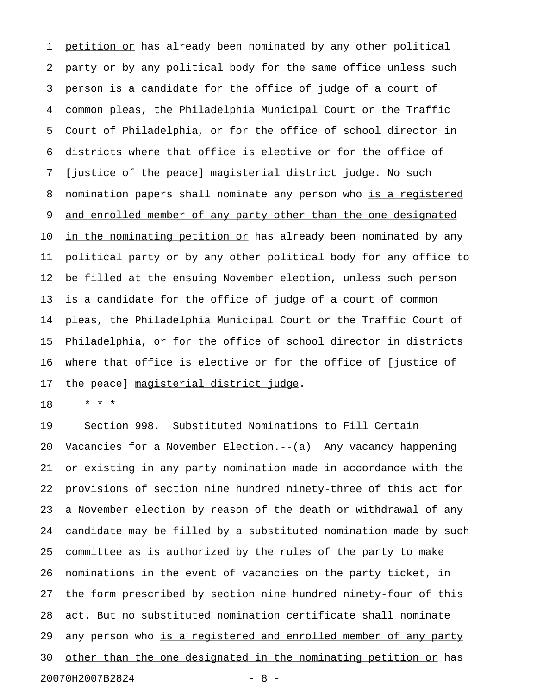1 petition or has already been nominated by any other political 2 party or by any political body for the same office unless such 3 person is a candidate for the office of judge of a court of 4 common pleas, the Philadelphia Municipal Court or the Traffic 5 Court of Philadelphia, or for the office of school director in 6 districts where that office is elective or for the office of 7 [justice of the peace] magisterial district judge. No such 8 nomination papers shall nominate any person who is a registered 9 <u>and enrolled member of any party other than the one designated</u> 10 in the nominating petition or has already been nominated by any 11 political party or by any other political body for any office to 12 be filled at the ensuing November election, unless such person 13 is a candidate for the office of judge of a court of common 14 pleas, the Philadelphia Municipal Court or the Traffic Court of 15 Philadelphia, or for the office of school director in districts 16 where that office is elective or for the office of [justice of 17 the peace] magisterial district judge.

18 \* \* \*

19 Section 998. Substituted Nominations to Fill Certain 20 Vacancies for a November Election.--(a) Any vacancy happening 21 or existing in any party nomination made in accordance with the 22 provisions of section nine hundred ninety-three of this act for 23 a November election by reason of the death or withdrawal of any 24 candidate may be filled by a substituted nomination made by such 25 committee as is authorized by the rules of the party to make 26 nominations in the event of vacancies on the party ticket, in 27 the form prescribed by section nine hundred ninety-four of this 28 act. But no substituted nomination certificate shall nominate 29 any person who is a registered and enrolled member of any party 30 other than the one designated in the nominating petition or has 20070H2007B2824 - 8 -